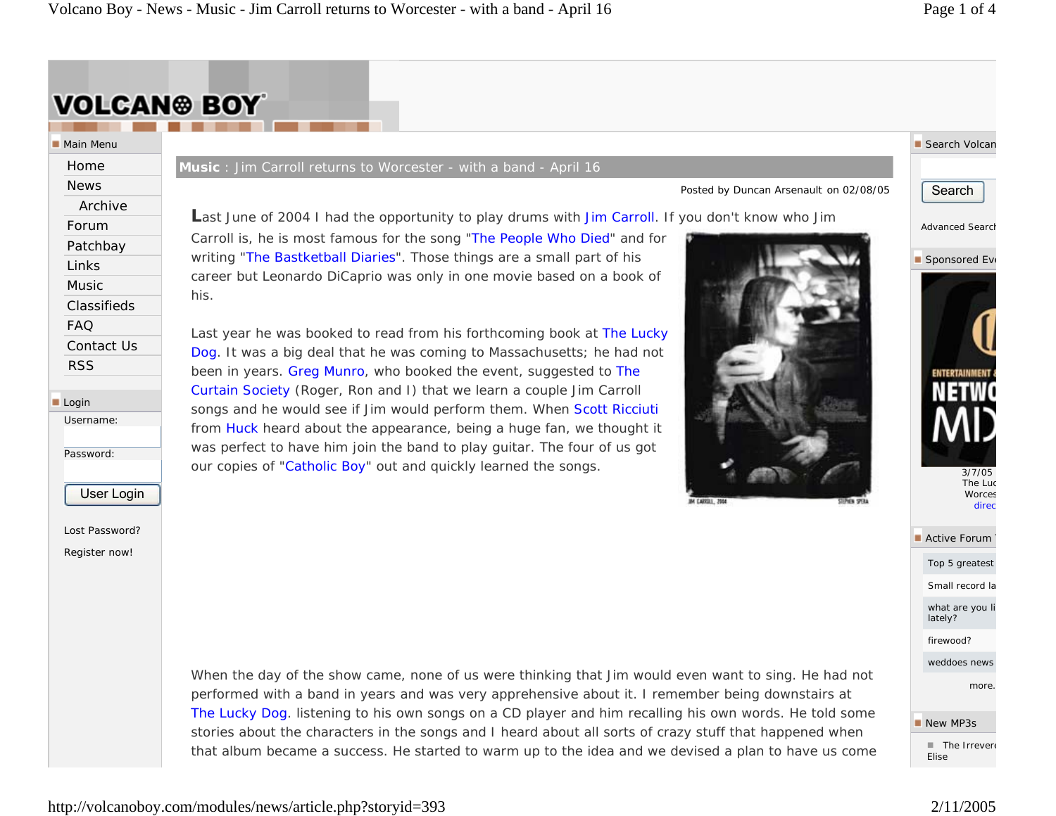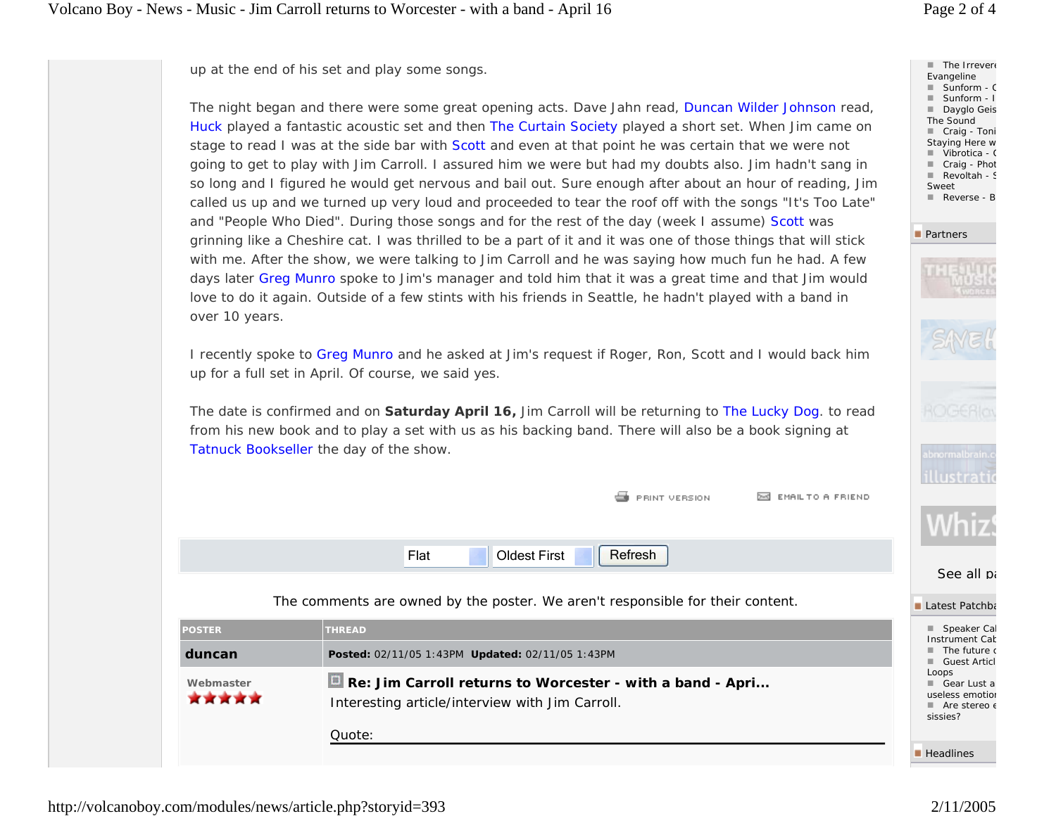up at the end of his set and play some songs.

The night began and there were some great opening acts. Dave Jahn read, Duncan Wilder Johnson read, Huck played a fantastic acoustic set and then The Curtain Society played a short set. When Jim came on stage to read I was at the side bar with Scott and even at that point he was certain that we were not going to get to play with Jim Carroll. I assured him we were but had my doubts also. Jim hadn't sang in so long and I figured he would get nervous and bail out. Sure enough after about an hour of reading, Jim called us up and we turned up very loud and proceeded to tear the roof off with the songs "It's Too Late" and "People Who Died". During those songs and for the rest of the day (week I assume) Scott was grinning like a Cheshire cat. I was thrilled to be a part of it and it was one of those things that will stick with me. After the show, we were talking to Jim Carroll and he was saying how much fun he had. A few days later Greg Munro spoke to Jim's manager and told him that it was a great time and that Jim would love to do it again. Outside of a few stints with his friends in Seattle, he hadn't played with a band in over 10 years.

I recently spoke to Greg Munro and he asked at Jim's request if Roger, Ron, Scott and I would back him up for a full set in April. Of course, we said yes.

The date is confirmed and on **Saturday April 16,** Jim Carroll will be returning to The Lucky Dog. to read from his new book and to play a set with us as his backing band. There will also be a book signing at Tatnuck Bookseller the day of the show.

|                                                                                                                           | <b>EXI EMAIL TO A FRIEND</b><br>PRINT VERSION                                  |                                                                                             |
|---------------------------------------------------------------------------------------------------------------------------|--------------------------------------------------------------------------------|---------------------------------------------------------------------------------------------|
|                                                                                                                           | Refresh<br><b>Oldest First</b><br>Flat                                         | See all pa                                                                                  |
|                                                                                                                           | The comments are owned by the poster. We aren't responsible for their content. | Latest Patchba                                                                              |
| <b>POSTER</b>                                                                                                             | <b>THREAD</b>                                                                  | Speaker Cal<br><b>Instrument Cat</b>                                                        |
| duncan                                                                                                                    | Posted: 02/11/05 1:43PM Updated: 02/11/05 1:43PM                               | The future o<br><b>Guest Articl</b><br>٠                                                    |
| Re: Jim Carroll returns to Worcester - with a band - Apri<br>Webmaster<br>Interesting article/interview with Jim Carroll. |                                                                                | Loops<br>Gear Lust a<br>useless emotion<br>$\blacksquare$ Are stereo $\epsilon$<br>sissies? |
|                                                                                                                           | Quote:                                                                         | $\blacksquare$ Headlines                                                                    |

 $\blacksquare$  The Irrevere Evangeline ■ Sunform - C Sunform - I ■ Dayglo Geis The Sound ■ Craig - Toni Staying Here w ■ Vibrotica - C Craig - Phot Revoltah - S Sweet Reverse - B

**Partners** 





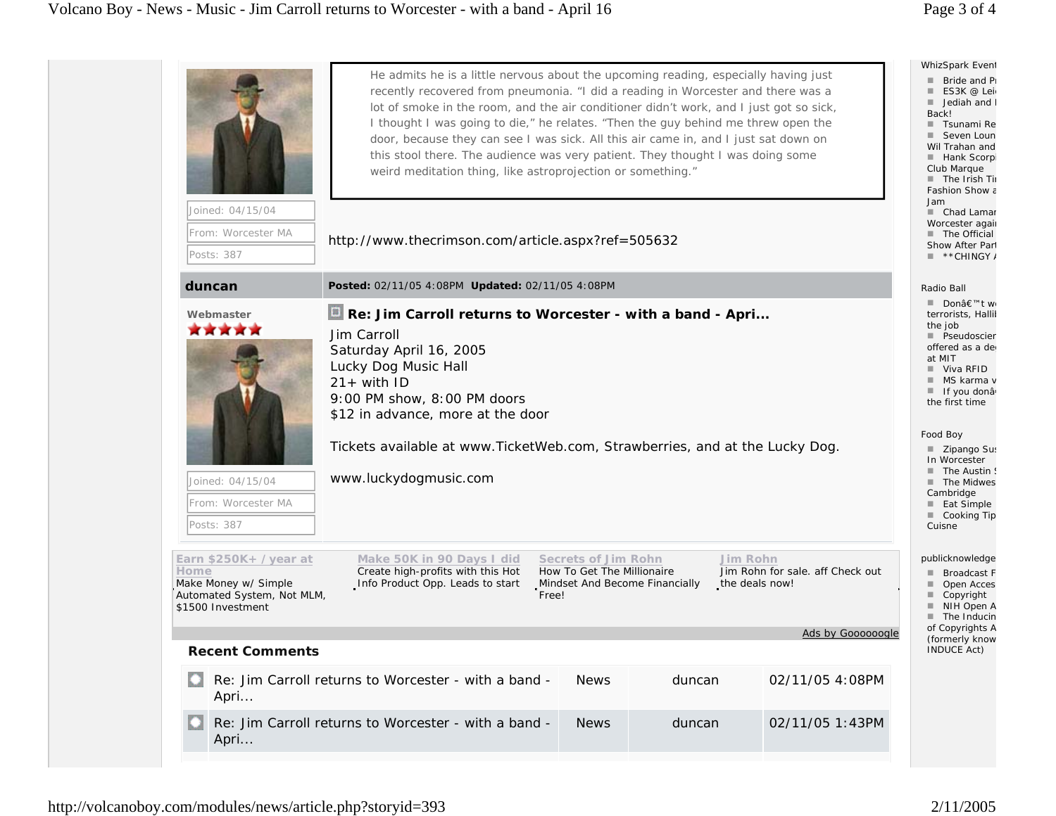| Joined: 04/15/04                                                                                         | He admits he is a little nervous about the upcoming reading, especially having just<br>recently recovered from pneumonia. "I did a reading in Worcester and there was a<br>lot of smoke in the room, and the air conditioner didn't work, and I just got so sick,<br>I thought I was going to die," he relates. "Then the guy behind me threw open the<br>door, because they can see I was sick. All this air came in, and I just sat down on<br>this stool there. The audience was very patient. They thought I was doing some<br>weird meditation thing, like astroprojection or something." |                                                   |                                                              |                                  | WhizSpark Event<br>Bride and Pi<br>ES3K @ Lei<br>Jediah and I<br>Back!<br>■ Tsunami Re<br>■ Seven Loun<br>Wil Trahan and<br>■ Hank Scorpi<br>Club Marque<br>The Irish Tir<br>Fashion Show a<br>Jam<br>■ Chad Lamar<br>Worcester again |
|----------------------------------------------------------------------------------------------------------|------------------------------------------------------------------------------------------------------------------------------------------------------------------------------------------------------------------------------------------------------------------------------------------------------------------------------------------------------------------------------------------------------------------------------------------------------------------------------------------------------------------------------------------------------------------------------------------------|---------------------------------------------------|--------------------------------------------------------------|----------------------------------|---------------------------------------------------------------------------------------------------------------------------------------------------------------------------------------------------------------------------------------|
| From: Worcester MA<br>Posts: 387                                                                         | http://www.thecrimson.com/article.aspx?ref=505632                                                                                                                                                                                                                                                                                                                                                                                                                                                                                                                                              |                                                   |                                                              |                                  | The Official<br>Show After Part<br>$\blacksquare$ **CHINGY/                                                                                                                                                                           |
| duncan                                                                                                   | Posted: 02/11/05 4:08PM Updated: 02/11/05 4:08PM                                                                                                                                                                                                                                                                                                                                                                                                                                                                                                                                               |                                                   |                                                              |                                  | Radio Ball                                                                                                                                                                                                                            |
| Webmaster<br>*****                                                                                       | Re: Jim Carroll returns to Worcester - with a band - Apri<br>Jim Carroll<br>Saturday April 16, 2005<br>Lucky Dog Music Hall<br>$21 + with ID$<br>9:00 PM show, 8:00 PM doors<br>\$12 in advance, more at the door                                                                                                                                                                                                                                                                                                                                                                              |                                                   |                                                              |                                  |                                                                                                                                                                                                                                       |
| Joined: 04/15/04<br>From: Worcester MA<br>Posts: 387                                                     | Tickets available at www.TicketWeb.com, Strawberries, and at the Lucky Dog.<br>www.luckydogmusic.com                                                                                                                                                                                                                                                                                                                                                                                                                                                                                           |                                                   |                                                              |                                  | Food Boy<br>■ Zipango Sus<br>In Worcester<br>The Austin !<br>The Midwes<br>Cambridge<br>■ Eat Simple<br>■ Cooking Tip<br>Cuisne                                                                                                       |
| Earn \$250K+ /year at<br>Home<br>Make Money w/ Simple<br>Automated System, Not MLM,<br>\$1500 Investment | Make 50K in 90 Days I did<br>Create high-profits with this Hot<br>Info Product Opp. Leads to start<br>Free!                                                                                                                                                                                                                                                                                                                                                                                                                                                                                    | Secrets of Jim Rohn<br>How To Get The Millionaire | Jim Rohn<br>Mindset And Become Financially<br>the deals now! | Jim Rohn for sale. aff Check out | publicknowledge<br><b>Broadcast F</b><br>Open Acces<br>ш<br>Copyright<br>ш<br>NIH Open A<br>٠<br>The Inducin                                                                                                                          |
| <b>Recent Comments</b>                                                                                   |                                                                                                                                                                                                                                                                                                                                                                                                                                                                                                                                                                                                |                                                   |                                                              | Ads by Goooooogle                | of Copyrights A<br>(formerly know<br>INDUCE Act)                                                                                                                                                                                      |
|                                                                                                          |                                                                                                                                                                                                                                                                                                                                                                                                                                                                                                                                                                                                |                                                   |                                                              |                                  |                                                                                                                                                                                                                                       |
| Apri                                                                                                     | Re: Jim Carroll returns to Worcester - with a band -                                                                                                                                                                                                                                                                                                                                                                                                                                                                                                                                           | <b>News</b>                                       | duncan                                                       | 02/11/05 4:08PM                  |                                                                                                                                                                                                                                       |
| Apri                                                                                                     | Re: Jim Carroll returns to Worcester - with a band -                                                                                                                                                                                                                                                                                                                                                                                                                                                                                                                                           | <b>News</b>                                       | duncan                                                       | 02/11/05 1:43PM                  |                                                                                                                                                                                                                                       |